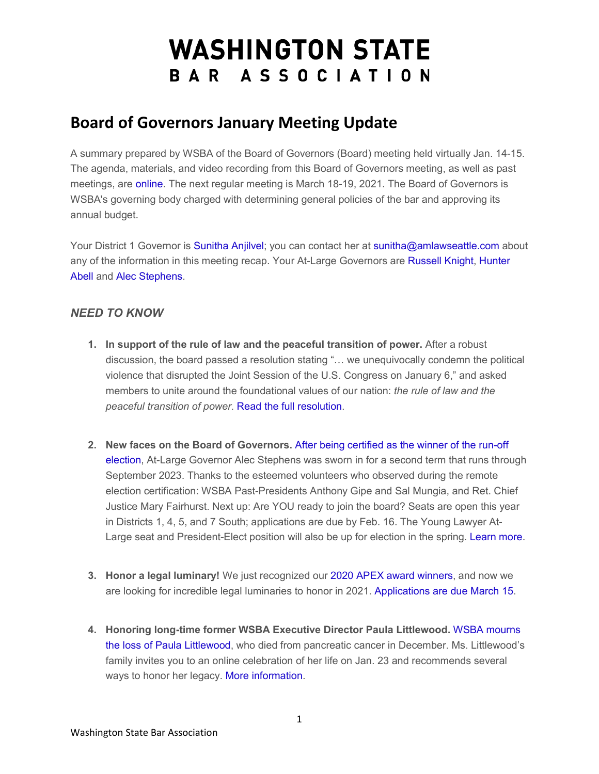# **WASHINGTON STATE** BAR ASSOCIATION

# **Board of Governors January Meeting Update**

A summary prepared by WSBA of the Board of Governors (Board) meeting held virtually Jan. 14-15. The agenda, materials, and video recording from this Board of Governors meeting, as well as past meetings, are [online.](https://urldefense.com/v3/__http:/WSBA.informz.net/z/cjUucD9taT0zMjA0NTQzJnA9MSZ1PTM3ODI5MjMyMiZsaT0yNzU4NTY5Ng/index.html__;!!MxMh4AY!2ejBgfT31kZb0JMPCN3CH-4oHHE1govgFE0YgwA0kWVaM_1j4RjlDhnBsSVD$) The next regular meeting is March 18-19, 2021. The Board of Governors is WSBA's governing body charged with determining general policies of the bar and approving its annual budget.

Your District 1 Governor is [Sunitha Anjilvel;](https://urldefense.com/v3/__http:/WSBA.informz.net/z/cjUucD9taT0zMjA0NTQzJnA9MSZ1PTM3ODI5MjMyMiZsaT0yNzU4NTY5Nw/index.html__;!!MxMh4AY!2ejBgfT31kZb0JMPCN3CH-4oHHE1govgFE0YgwA0kWVaM_1j4RjlDhxLgY18$) you can contact her at [sunitha@amlawseattle.com](mailto:sunitha@amlawseattle.com) about any of the information in this meeting recap. Your At-Large Governors are [Russell Knight,](https://urldefense.com/v3/__http:/WSBA.informz.net/z/cjUucD9taT0zMjA0NTQzJnA9MSZ1PTM3ODI5MjMyMiZsaT0yNzU4NTY5OA/index.html__;!!MxMh4AY!2ejBgfT31kZb0JMPCN3CH-4oHHE1govgFE0YgwA0kWVaM_1j4RjlDv0LYehy$) [Hunter](https://urldefense.com/v3/__http:/WSBA.informz.net/z/cjUucD9taT0zMjA0NTQzJnA9MSZ1PTM3ODI5MjMyMiZsaT0yNzU4NTY5OQ/index.html__;!!MxMh4AY!2ejBgfT31kZb0JMPCN3CH-4oHHE1govgFE0YgwA0kWVaM_1j4RjlDuiMnIWe$)  [Abell a](https://urldefense.com/v3/__http:/WSBA.informz.net/z/cjUucD9taT0zMjA0NTQzJnA9MSZ1PTM3ODI5MjMyMiZsaT0yNzU4NTY5OQ/index.html__;!!MxMh4AY!2ejBgfT31kZb0JMPCN3CH-4oHHE1govgFE0YgwA0kWVaM_1j4RjlDuiMnIWe$)nd [Alec Stephens.](https://urldefense.com/v3/__http:/WSBA.informz.net/z/cjUucD9taT0zMjA0NTQzJnA9MSZ1PTM3ODI5MjMyMiZsaT0yNzU4NTcwMA/index.html__;!!MxMh4AY!2ejBgfT31kZb0JMPCN3CH-4oHHE1govgFE0YgwA0kWVaM_1j4RjlDkJ7S0ZG$)

## *NEED TO KNOW*

- **1. In support of the rule of law and the peaceful transition of power.** After a robust discussion, the board passed a resolution stating "… we unequivocally condemn the political violence that disrupted the Joint Session of the U.S. Congress on January 6," and asked members to unite around the foundational values of our nation: *the rule of law and the peaceful transition of power*. [Read the full resolution.](https://urldefense.com/v3/__http:/WSBA.informz.net/z/cjUucD9taT0zMjA0NTQzJnA9MSZ1PTM3ODI5MjMyMiZsaT0yNzU4NTcwMQ/index.html__;!!MxMh4AY!2ejBgfT31kZb0JMPCN3CH-4oHHE1govgFE0YgwA0kWVaM_1j4RjlDok6Nb33$)
- **2. New faces on the Board of Governors.** [After being certified as the winner of the run-off](https://urldefense.com/v3/__http:/WSBA.informz.net/z/cjUucD9taT0zMjA0NTQzJnA9MSZ1PTM3ODI5MjMyMiZsaT0yNzU4NTcwMg/index.html__;!!MxMh4AY!2ejBgfT31kZb0JMPCN3CH-4oHHE1govgFE0YgwA0kWVaM_1j4RjlDhPr-JUe$)  [election,](https://urldefense.com/v3/__http:/WSBA.informz.net/z/cjUucD9taT0zMjA0NTQzJnA9MSZ1PTM3ODI5MjMyMiZsaT0yNzU4NTcwMg/index.html__;!!MxMh4AY!2ejBgfT31kZb0JMPCN3CH-4oHHE1govgFE0YgwA0kWVaM_1j4RjlDhPr-JUe$) At-Large Governor Alec Stephens was sworn in for a second term that runs through September 2023. Thanks to the esteemed volunteers who observed during the remote election certification: WSBA Past-Presidents Anthony Gipe and Sal Mungia, and Ret. Chief Justice Mary Fairhurst. Next up: Are YOU ready to join the board? Seats are open this year in Districts 1, 4, 5, and 7 South; applications are due by Feb. 16. The Young Lawyer At-Large seat and President-Elect position will also be up for election in the spring. [Learn more.](https://urldefense.com/v3/__http:/WSBA.informz.net/z/cjUucD9taT0zMjA0NTQzJnA9MSZ1PTM3ODI5MjMyMiZsaT0yNzU4NTcwMw/index.html__;!!MxMh4AY!2ejBgfT31kZb0JMPCN3CH-4oHHE1govgFE0YgwA0kWVaM_1j4RjlDkd8-JPa$)
- **3. Honor a legal luminary!** We just recognized our [2020 APEX award winners,](https://urldefense.com/v3/__http:/WSBA.informz.net/z/cjUucD9taT0zMjA0NTQzJnA9MSZ1PTM3ODI5MjMyMiZsaT0yNzU4NTcwNA/index.html__;!!MxMh4AY!2ejBgfT31kZb0JMPCN3CH-4oHHE1govgFE0YgwA0kWVaM_1j4RjlDhuMK4PA$) and now we are looking for incredible legal luminaries to honor in 2021. [Applications are due March 15.](https://urldefense.com/v3/__http:/WSBA.informz.net/z/cjUucD9taT0zMjA0NTQzJnA9MSZ1PTM3ODI5MjMyMiZsaT0yNzU4NTcwNQ/index.html__;!!MxMh4AY!2ejBgfT31kZb0JMPCN3CH-4oHHE1govgFE0YgwA0kWVaM_1j4RjlDk-2H-k0$)
- **4. Honoring long-time former WSBA Executive Director Paula Littlewood.** [WSBA mourns](https://urldefense.com/v3/__http:/WSBA.informz.net/z/cjUucD9taT0zMjA0NTQzJnA9MSZ1PTM3ODI5MjMyMiZsaT0yNzU4NTcwNg/index.html__;!!MxMh4AY!2ejBgfT31kZb0JMPCN3CH-4oHHE1govgFE0YgwA0kWVaM_1j4RjlDsf2_RS0$)  [the loss of Paula Littlewood,](https://urldefense.com/v3/__http:/WSBA.informz.net/z/cjUucD9taT0zMjA0NTQzJnA9MSZ1PTM3ODI5MjMyMiZsaT0yNzU4NTcwNg/index.html__;!!MxMh4AY!2ejBgfT31kZb0JMPCN3CH-4oHHE1govgFE0YgwA0kWVaM_1j4RjlDsf2_RS0$) who died from pancreatic cancer in December. Ms. Littlewood's family invites you to an online celebration of her life on Jan. 23 and recommends several ways to honor her legacy. [More information.](https://urldefense.com/v3/__http:/WSBA.informz.net/z/cjUucD9taT0zMjA0NTQzJnA9MSZ1PTM3ODI5MjMyMiZsaT0yNzU4NTcwNw/index.html__;!!MxMh4AY!2ejBgfT31kZb0JMPCN3CH-4oHHE1govgFE0YgwA0kWVaM_1j4RjlDrtnErKa$)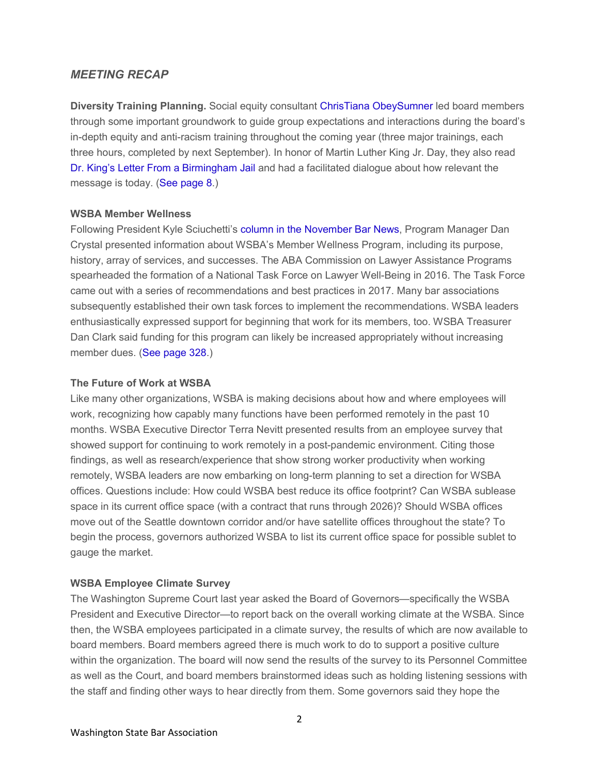### *MEETING RECAP*

**Diversity Training Planning.** Social equity consultant [ChrisTiana ObeySumner le](https://urldefense.com/v3/__http:/WSBA.informz.net/z/cjUucD9taT0zMjA0NTQzJnA9MSZ1PTM3ODI5MjMyMiZsaT0yNzU4NTcwOA/index.html__;!!MxMh4AY!2ejBgfT31kZb0JMPCN3CH-4oHHE1govgFE0YgwA0kWVaM_1j4RjlDsrLbpT9$)d board members through some important groundwork to guide group expectations and interactions during the board's in-depth equity and anti-racism training throughout the coming year (three major trainings, each three hours, completed by next September). In honor of Martin Luther King Jr. Day, they also read [Dr. King's Letter From a Birmingham Jail](https://urldefense.com/v3/__http:/WSBA.informz.net/z/cjUucD9taT0zMjA0NTQzJnA9MSZ1PTM3ODI5MjMyMiZsaT0yNzU4NTcwOQ/index.html__;!!MxMh4AY!2ejBgfT31kZb0JMPCN3CH-4oHHE1govgFE0YgwA0kWVaM_1j4RjlDlBIFTua$) and had a facilitated dialogue about how relevant the message is today. [\(See page 8.](https://urldefense.com/v3/__http:/WSBA.informz.net/z/cjUucD9taT0zMjA0NTQzJnA9MSZ1PTM3ODI5MjMyMiZsaT0yNzU4NTcxMA/index.html__;!!MxMh4AY!2ejBgfT31kZb0JMPCN3CH-4oHHE1govgFE0YgwA0kWVaM_1j4RjlDmbqzl_p$))

#### **WSBA Member Wellness**

Following President Kyle Sciuchetti's [column in the November Bar News,](https://urldefense.com/v3/__http:/WSBA.informz.net/z/cjUucD9taT0zMjA0NTQzJnA9MSZ1PTM3ODI5MjMyMiZsaT0yNzU4NTcxMQ/index.html__;!!MxMh4AY!2ejBgfT31kZb0JMPCN3CH-4oHHE1govgFE0YgwA0kWVaM_1j4RjlDmhHKteP$) Program Manager Dan Crystal presented information about WSBA's Member Wellness Program, including its purpose, history, array of services, and successes. The ABA Commission on Lawyer Assistance Programs spearheaded the formation of a National Task Force on Lawyer Well-Being in 2016. The Task Force came out with a series of recommendations and best practices in 2017. Many bar associations subsequently established their own task forces to implement the recommendations. WSBA leaders enthusiastically expressed support for beginning that work for its members, too. WSBA Treasurer Dan Clark said funding for this program can likely be increased appropriately without increasing member dues. [\(See page 328.](https://urldefense.com/v3/__http:/WSBA.informz.net/z/cjUucD9taT0zMjA0NTQzJnA9MSZ1PTM3ODI5MjMyMiZsaT0yNzU4NTcxMA/index.html__;!!MxMh4AY!2ejBgfT31kZb0JMPCN3CH-4oHHE1govgFE0YgwA0kWVaM_1j4RjlDmbqzl_p$))

#### **The Future of Work at WSBA**

Like many other organizations, WSBA is making decisions about how and where employees will work, recognizing how capably many functions have been performed remotely in the past 10 months. WSBA Executive Director Terra Nevitt presented results from an employee survey that showed support for continuing to work remotely in a post-pandemic environment. Citing those findings, as well as research/experience that show strong worker productivity when working remotely, WSBA leaders are now embarking on long-term planning to set a direction for WSBA offices. Questions include: How could WSBA best reduce its office footprint? Can WSBA sublease space in its current office space (with a contract that runs through 2026)? Should WSBA offices move out of the Seattle downtown corridor and/or have satellite offices throughout the state? To begin the process, governors authorized WSBA to list its current office space for possible sublet to gauge the market.

#### **WSBA Employee Climate Survey**

The Washington Supreme Court last year asked the Board of Governors—specifically the WSBA President and Executive Director—to report back on the overall working climate at the WSBA. Since then, the WSBA employees participated in a climate survey, the results of which are now available to board members. Board members agreed there is much work to do to support a positive culture within the organization. The board will now send the results of the survey to its Personnel Committee as well as the Court, and board members brainstormed ideas such as holding listening sessions with the staff and finding other ways to hear directly from them. Some governors said they hope the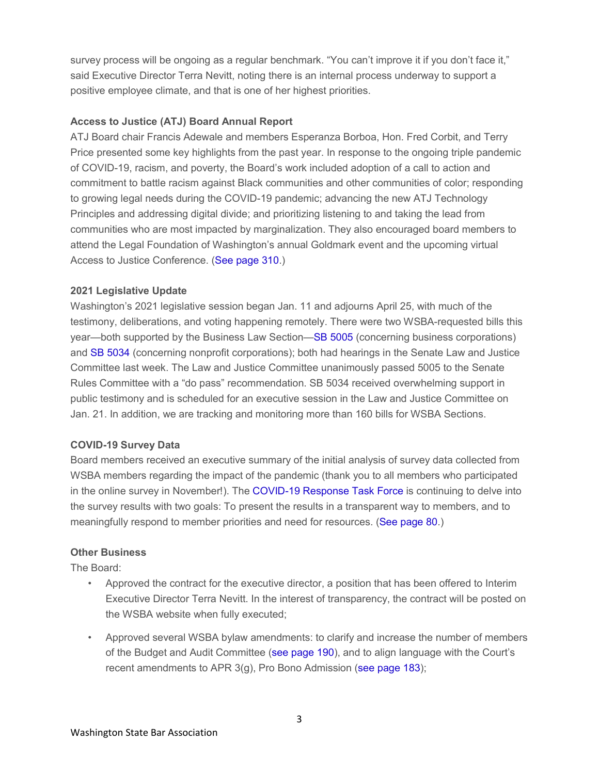survey process will be ongoing as a regular benchmark. "You can't improve it if you don't face it," said Executive Director Terra Nevitt, noting there is an internal process underway to support a positive employee climate, and that is one of her highest priorities.

#### **Access to Justice (ATJ) Board Annual Report**

ATJ Board chair Francis Adewale and members Esperanza Borboa, Hon. Fred Corbit, and Terry Price presented some key highlights from the past year. In response to the ongoing triple pandemic of COVID-19, racism, and poverty, the Board's work included adoption of a call to action and commitment to battle racism against Black communities and other communities of color; responding to growing legal needs during the COVID-19 pandemic; advancing the new ATJ Technology Principles and addressing digital divide; and prioritizing listening to and taking the lead from communities who are most impacted by marginalization. They also encouraged board members to attend the Legal Foundation of Washington's annual Goldmark event and the upcoming virtual Access to Justice Conference. [\(See page 310.](https://urldefense.com/v3/__http:/WSBA.informz.net/z/cjUucD9taT0zMjA0NTQzJnA9MSZ1PTM3ODI5MjMyMiZsaT0yNzU4NTcxMA/index.html__;!!MxMh4AY!2ejBgfT31kZb0JMPCN3CH-4oHHE1govgFE0YgwA0kWVaM_1j4RjlDmbqzl_p$))

#### **2021 Legislative Update**

Washington's 2021 legislative session began Jan. 11 and adjourns April 25, with much of the testimony, deliberations, and voting happening remotely. There were two WSBA-requested bills this year—both supported by the Business Law Section[—SB 5005](https://urldefense.com/v3/__http:/WSBA.informz.net/z/cjUucD9taT0zMjA0NTQzJnA9MSZ1PTM3ODI5MjMyMiZsaT0yNzU4NTcxMg/index.html__;!!MxMh4AY!2ejBgfT31kZb0JMPCN3CH-4oHHE1govgFE0YgwA0kWVaM_1j4RjlDpkMlskB$) (concerning business corporations) and [SB 5034](https://urldefense.com/v3/__http:/WSBA.informz.net/z/cjUucD9taT0zMjA0NTQzJnA9MSZ1PTM3ODI5MjMyMiZsaT0yNzU4NTcxMw/index.html__;!!MxMh4AY!2ejBgfT31kZb0JMPCN3CH-4oHHE1govgFE0YgwA0kWVaM_1j4RjlDloIOoHK$) (concerning nonprofit corporations); both had hearings in the Senate Law and Justice Committee last week. The Law and Justice Committee unanimously passed 5005 to the Senate Rules Committee with a "do pass" recommendation. SB 5034 received overwhelming support in public testimony and is scheduled for an executive session in the Law and Justice Committee on Jan. 21. In addition, we are tracking and monitoring more than 160 bills for WSBA Sections.

#### **COVID-19 Survey Data**

Board members received an executive summary of the initial analysis of survey data collected from WSBA members regarding the impact of the pandemic (thank you to all members who participated in the online survey in November!). The [COVID-19 Response Task Force](https://urldefense.com/v3/__http:/WSBA.informz.net/z/cjUucD9taT0zMjA0NTQzJnA9MSZ1PTM3ODI5MjMyMiZsaT0yNzU4NTcxNA/index.html__;!!MxMh4AY!2ejBgfT31kZb0JMPCN3CH-4oHHE1govgFE0YgwA0kWVaM_1j4RjlDmAPE_yE$) is continuing to delve into the survey results with two goals: To present the results in a transparent way to members, and to meaningfully respond to member priorities and need for resources. [\(See page 80.](https://urldefense.com/v3/__http:/WSBA.informz.net/z/cjUucD9taT0zMjA0NTQzJnA9MSZ1PTM3ODI5MjMyMiZsaT0yNzU4NTcxNQ/index.html__;!!MxMh4AY!2ejBgfT31kZb0JMPCN3CH-4oHHE1govgFE0YgwA0kWVaM_1j4RjlDmUGV7qL$))

#### **Other Business**

The Board:

- Approved the contract for the executive director, a position that has been offered to Interim Executive Director Terra Nevitt. In the interest of transparency, the contract will be posted on the WSBA website when fully executed;
- Approved several WSBA bylaw amendments: to clarify and increase the number of members of the Budget and Audit Committee [\(see page 190\)](https://urldefense.com/v3/__http:/WSBA.informz.net/z/cjUucD9taT0zMjA0NTQzJnA9MSZ1PTM3ODI5MjMyMiZsaT0yNzU4NTcxMA/index.html__;!!MxMh4AY!2ejBgfT31kZb0JMPCN3CH-4oHHE1govgFE0YgwA0kWVaM_1j4RjlDmbqzl_p$), and to align language with the Court's recent amendments to APR 3(g), Pro Bono Admission [\(see page 183\)](https://urldefense.com/v3/__http:/WSBA.informz.net/z/cjUucD9taT0zMjA0NTQzJnA9MSZ1PTM3ODI5MjMyMiZsaT0yNzU4NTcxMA/index.html__;!!MxMh4AY!2ejBgfT31kZb0JMPCN3CH-4oHHE1govgFE0YgwA0kWVaM_1j4RjlDmbqzl_p$);